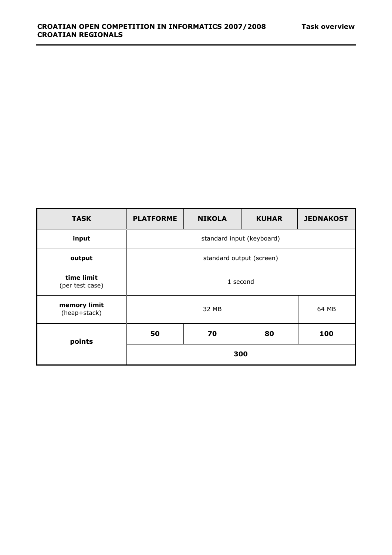| <b>TASK</b>                   | <b>PLATFORME</b>          | <b>NIKOLA</b> | <b>KUHAR</b> | <b>JEDNAKOST</b> |
|-------------------------------|---------------------------|---------------|--------------|------------------|
| input                         | standard input (keyboard) |               |              |                  |
| output                        | standard output (screen)  |               |              |                  |
| time limit<br>(per test case) | 1 second                  |               |              |                  |
| memory limit<br>(heap+stack)  | 32 MB                     |               | 64 MB        |                  |
| points                        | 50                        | 70            | 80           | 100              |
|                               | 300                       |               |              |                  |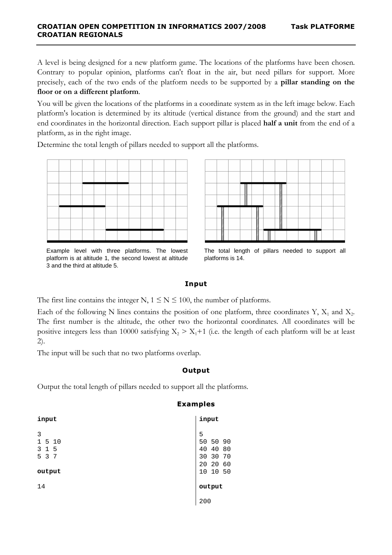A level is being designed for a new platform game. The locations of the platforms have been chosen. Contrary to popular opinion, platforms can't float in the air, but need pillars for support. More precisely, each of the two ends of the platform needs to be supported by a **pillar standing on the floor or on a different platform**.

You will be given the locations of the platforms in a coordinate system as in the left image below. Each platform's location is determined by its altitude (vertical distance from the ground) and the start and end coordinates in the horizontal direction. Each support pillar is placed **half a unit** from the end of a platform, as in the right image.

Determine the total length of pillars needed to support all the platforms.



Example level with three platforms. The lowest platform is at altitude 1, the second lowest at altitude 3 and the third at altitude 5.



 The total length of pillars needed to support all platforms is 14.

#### **Input**

The first line contains the integer N,  $1 \le N \le 100$ , the number of platforms.

Each of the following N lines contains the position of one platform, three coordinates Y,  $X_1$  and  $X_2$ . The first number is the altitude, the other two the horizontal coordinates. All coordinates will be positive integers less than 10000 satisfying  $X_2 > X_1 + 1$  (i.e. the length of each platform will be at least 2).

The input will be such that no two platforms overlap.

## **Output**

Output the total length of pillars needed to support all the platforms.

| input                                                      | input                                                                        |
|------------------------------------------------------------|------------------------------------------------------------------------------|
| 3<br>5<br>10<br>$\mathbf{1}$<br>3<br>-5<br>5 3 7<br>output | 5<br>50 50<br>90<br>40<br>80<br>40<br>30 30<br>70<br>20 20<br>60<br>10 10 50 |
| 14                                                         | output                                                                       |
|                                                            | 200                                                                          |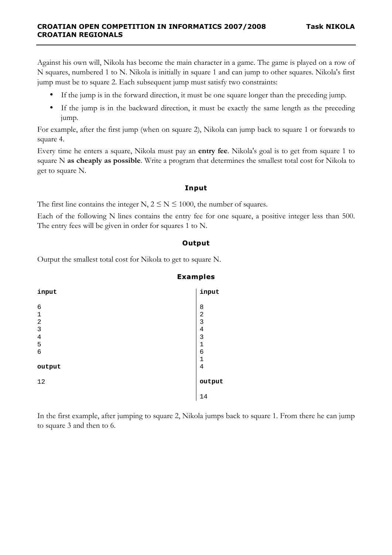Against his own will, Nikola has become the main character in a game. The game is played on a row of N squares, numbered 1 to N. Nikola is initially in square 1 and can jump to other squares. Nikola's first jump must be to square 2. Each subsequent jump must satisfy two constraints:

- If the jump is in the forward direction, it must be one square longer than the preceding jump.
- If the jump is in the backward direction, it must be exactly the same length as the preceding jump.

For example, after the first jump (when on square 2), Nikola can jump back to square 1 or forwards to square 4.

Every time he enters a square, Nikola must pay an **entry fee**. Nikola's goal is to get from square 1 to square N **as cheaply as possible**. Write a program that determines the smallest total cost for Nikola to get to square N.

## **Input**

The first line contains the integer N,  $2 \le N \le 1000$ , the number of squares.

Each of the following N lines contains the entry fee for one square, a positive integer less than 500. The entry fees will be given in order for squares 1 to N.

## **Output**

Output the smallest total cost for Nikola to get to square N.



In the first example, after jumping to square 2, Nikola jumps back to square 1. From there he can jump to square 3 and then to 6.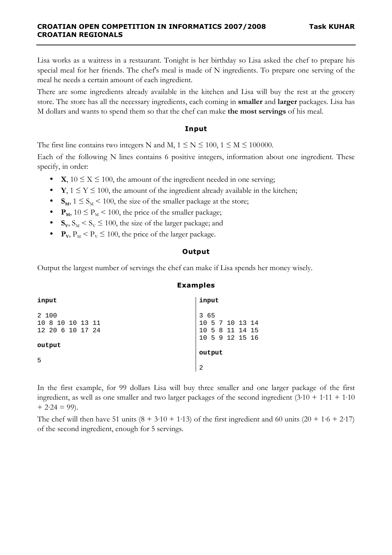Lisa works as a waitress in a restaurant. Tonight is her birthday so Lisa asked the chef to prepare his special meal for her friends. The chef's meal is made of N ingredients. To prepare one serving of the meal he needs a certain amount of each ingredient.

There are some ingredients already available in the kitchen and Lisa will buy the rest at the grocery store. The store has all the necessary ingredients, each coming in **smaller** and **larger** packages. Lisa has M dollars and wants to spend them so that the chef can make **the most servings** of his meal.

#### **Input**

The first line contains two integers N and M,  $1 \le N \le 100$ ,  $1 \le M \le 100000$ .

Each of the following N lines contains 6 positive integers, information about one ingredient. These specify, in order:

- **X**,  $10 \le X \le 100$ , the amount of the ingredient needed in one serving;
- **Y**,  $1 \le Y \le 100$ , the amount of the ingredient already available in the kitchen;
- $S_M$ ,  $1 \leq S_M$  < 100, the size of the smaller package at the store;
- $P_M$ ,  $10 \le P_M$  < 100, the price of the smaller package;
- $S_V$ ,  $S_M$  <  $S_V$   $\leq$  100, the size of the larger package; and
- $P_{\text{V}}$ ,  $P_{\text{M}}$  <  $P_{\text{V}} \le 100$ , the price of the larger package.

## **Output**

Output the largest number of servings the chef can make if Lisa spends her money wisely.

| input                                            | input                                                         |
|--------------------------------------------------|---------------------------------------------------------------|
| 2 100<br>8 10 10 13 11<br>10<br>12 20 6 10 17 24 | 3 65<br>10 5 7 10 13 14<br>10 5 8 11 14 15<br>10 5 9 12 15 16 |
| output                                           | output                                                        |
| 5                                                | $\overline{2}$                                                |

In the first example, for 99 dollars Lisa will buy three smaller and one larger package of the first ingredient, as well as one smaller and two larger packages of the second ingredient  $(3.10 + 1.11 + 1.10)$  $+ 2.24 = 99$ ).

The chef will then have 51 units  $(8 + 3.10 + 1.13)$  of the first ingredient and 60 units  $(20 + 1.6 + 2.17)$ of the second ingredient, enough for 5 servings.